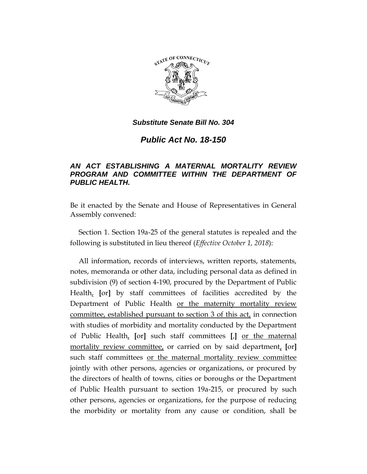

*Public Act No. 18-150*

# *AN ACT ESTABLISHING A MATERNAL MORTALITY REVIEW PROGRAM AND COMMITTEE WITHIN THE DEPARTMENT OF PUBLIC HEALTH.*

Be it enacted by the Senate and House of Representatives in General Assembly convened:

Section 1. Section 19a-25 of the general statutes is repealed and the following is substituted in lieu thereof (*Effective October 1, 2018*):

All information, records of interviews, written reports, statements, notes, memoranda or other data, including personal data as defined in subdivision (9) of section 4-190, procured by the Department of Public Health, **[**or**]** by staff committees of facilities accredited by the Department of Public Health or the maternity mortality review committee, established pursuant to section 3 of this act, in connection with studies of morbidity and mortality conducted by the Department of Public Health, **[**or**]** such staff committees **[**,**]** or the maternal mortality review committee, or carried on by said department, **[**or**]** such staff committees or the maternal mortality review committee jointly with other persons, agencies or organizations, or procured by the directors of health of towns, cities or boroughs or the Department of Public Health pursuant to section 19a-215, or procured by such other persons, agencies or organizations, for the purpose of reducing the morbidity or mortality from any cause or condition, shall be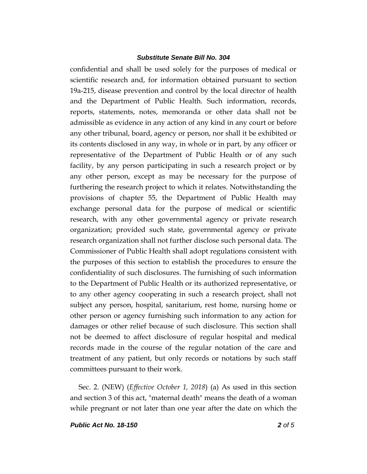confidential and shall be used solely for the purposes of medical or scientific research and, for information obtained pursuant to section 19a-215, disease prevention and control by the local director of health and the Department of Public Health. Such information, records, reports, statements, notes, memoranda or other data shall not be admissible as evidence in any action of any kind in any court or before any other tribunal, board, agency or person, nor shall it be exhibited or its contents disclosed in any way, in whole or in part, by any officer or representative of the Department of Public Health or of any such facility, by any person participating in such a research project or by any other person, except as may be necessary for the purpose of furthering the research project to which it relates. Notwithstanding the provisions of chapter 55, the Department of Public Health may exchange personal data for the purpose of medical or scientific research, with any other governmental agency or private research organization; provided such state, governmental agency or private research organization shall not further disclose such personal data. The Commissioner of Public Health shall adopt regulations consistent with the purposes of this section to establish the procedures to ensure the confidentiality of such disclosures. The furnishing of such information to the Department of Public Health or its authorized representative, or to any other agency cooperating in such a research project, shall not subject any person, hospital, sanitarium, rest home, nursing home or other person or agency furnishing such information to any action for damages or other relief because of such disclosure. This section shall not be deemed to affect disclosure of regular hospital and medical records made in the course of the regular notation of the care and treatment of any patient, but only records or notations by such staff committees pursuant to their work.

Sec. 2. (NEW) (*Effective October 1, 2018*) (a) As used in this section and section 3 of this act, "maternal death" means the death of a woman while pregnant or not later than one year after the date on which the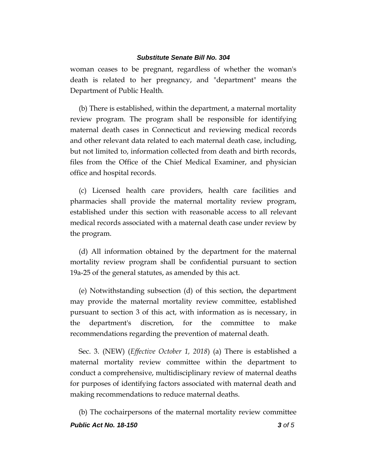woman ceases to be pregnant, regardless of whether the woman's death is related to her pregnancy, and "department" means the Department of Public Health.

(b) There is established, within the department, a maternal mortality review program. The program shall be responsible for identifying maternal death cases in Connecticut and reviewing medical records and other relevant data related to each maternal death case, including, but not limited to, information collected from death and birth records, files from the Office of the Chief Medical Examiner, and physician office and hospital records.

(c) Licensed health care providers, health care facilities and pharmacies shall provide the maternal mortality review program, established under this section with reasonable access to all relevant medical records associated with a maternal death case under review by the program.

(d) All information obtained by the department for the maternal mortality review program shall be confidential pursuant to section 19a-25 of the general statutes, as amended by this act.

(e) Notwithstanding subsection (d) of this section, the department may provide the maternal mortality review committee, established pursuant to section 3 of this act, with information as is necessary, in the department's discretion, for the committee to make recommendations regarding the prevention of maternal death.

Sec. 3. (NEW) (*Effective October 1, 2018*) (a) There is established a maternal mortality review committee within the department to conduct a comprehensive, multidisciplinary review of maternal deaths for purposes of identifying factors associated with maternal death and making recommendations to reduce maternal deaths.

*Public Act No. 18-150 3 of 5* (b) The cochairpersons of the maternal mortality review committee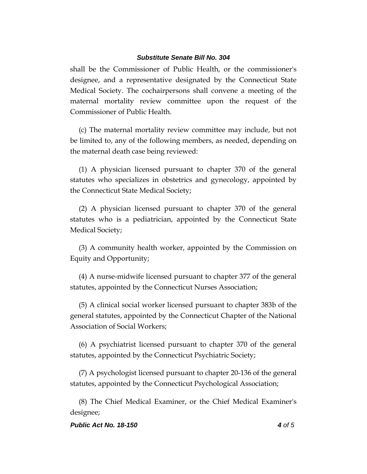shall be the Commissioner of Public Health, or the commissioner's designee, and a representative designated by the Connecticut State Medical Society. The cochairpersons shall convene a meeting of the maternal mortality review committee upon the request of the Commissioner of Public Health.

(c) The maternal mortality review committee may include, but not be limited to, any of the following members, as needed, depending on the maternal death case being reviewed:

(1) A physician licensed pursuant to chapter 370 of the general statutes who specializes in obstetrics and gynecology, appointed by the Connecticut State Medical Society;

(2) A physician licensed pursuant to chapter 370 of the general statutes who is a pediatrician, appointed by the Connecticut State Medical Society;

(3) A community health worker, appointed by the Commission on Equity and Opportunity;

(4) A nurse-midwife licensed pursuant to chapter 377 of the general statutes, appointed by the Connecticut Nurses Association;

(5) A clinical social worker licensed pursuant to chapter 383b of the general statutes, appointed by the Connecticut Chapter of the National Association of Social Workers;

(6) A psychiatrist licensed pursuant to chapter 370 of the general statutes, appointed by the Connecticut Psychiatric Society;

(7) A psychologist licensed pursuant to chapter 20-136 of the general statutes, appointed by the Connecticut Psychological Association;

(8) The Chief Medical Examiner, or the Chief Medical Examiner's designee;